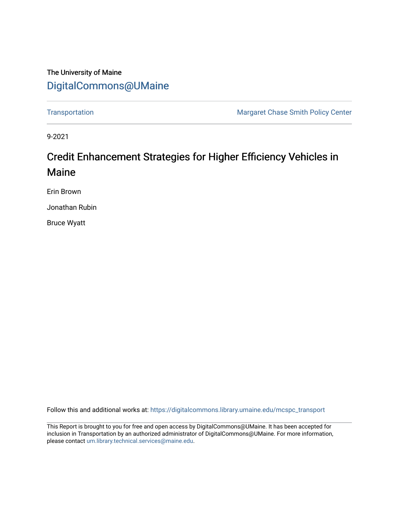# The University of Maine [DigitalCommons@UMaine](https://digitalcommons.library.umaine.edu/)

[Transportation](https://digitalcommons.library.umaine.edu/mcspc_transport) **Margaret Chase Smith Policy Center** Margaret Chase Smith Policy Center

9-2021

# Credit Enhancement Strategies for Higher Efficiency Vehicles in Maine

Erin Brown

Jonathan Rubin

Bruce Wyatt

Follow this and additional works at: [https://digitalcommons.library.umaine.edu/mcspc\\_transport](https://digitalcommons.library.umaine.edu/mcspc_transport?utm_source=digitalcommons.library.umaine.edu%2Fmcspc_transport%2F8&utm_medium=PDF&utm_campaign=PDFCoverPages) 

This Report is brought to you for free and open access by DigitalCommons@UMaine. It has been accepted for inclusion in Transportation by an authorized administrator of DigitalCommons@UMaine. For more information, please contact [um.library.technical.services@maine.edu.](mailto:um.library.technical.services@maine.edu)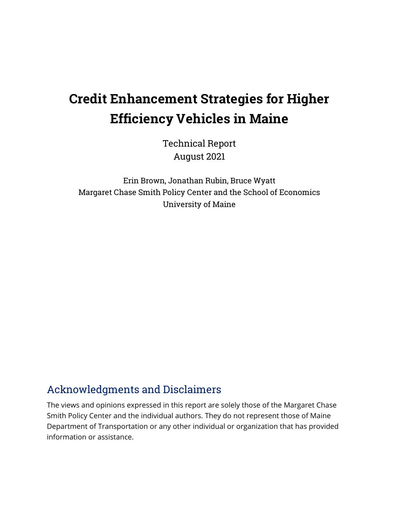# **Credit Enhancement Strategies for Higher Efficiency Vehicles in Maine**

Technical Report August 2021

Erin Brown, Jonathan Rubin, Bruce Wyatt Margaret Chase Smith Policy Center and the School of Economics University of Maine

# <span id="page-1-0"></span>Acknowledgments and Disclaimers

The views and opinions expressed in this report are solely those of the Margaret Chase Smith Policy Center and the individual authors. They do not represent those of Maine Department of Transportation or any other individual or organization that has provided information or assistance.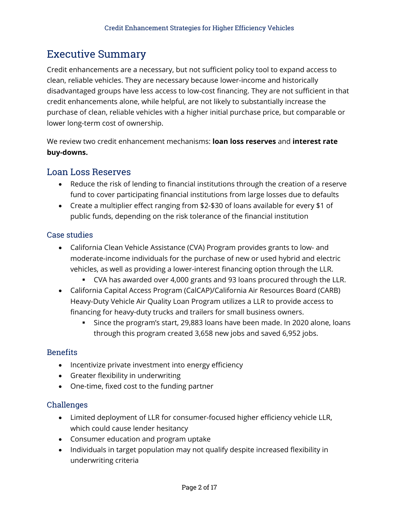# <span id="page-2-0"></span>Executive Summary

Credit enhancements are a necessary, but not sufficient policy tool to expand access to clean, reliable vehicles. They are necessary because lower-income and historically disadvantaged groups have less access to low-cost financing. They are not sufficient in that credit enhancements alone, while helpful, are not likely to substantially increase the purchase of clean, reliable vehicles with a higher initial purchase price, but comparable or lower long-term cost of ownership.

We review two credit enhancement mechanisms: **loan loss reserves** and **interest rate buy-downs.**

#### <span id="page-2-1"></span>Loan Loss Reserves

- Reduce the risk of lending to financial institutions through the creation of a reserve fund to cover participating financial institutions from large losses due to defaults
- Create a multiplier effect ranging from \$2-\$30 of loans available for every \$1 of public funds, depending on the risk tolerance of the financial institution

#### Case studies

- California Clean Vehicle Assistance (CVA) Program provides grants to low- and moderate-income individuals for the purchase of new or used hybrid and electric vehicles, as well as providing a lower-interest financing option through the LLR.
	- CVA has awarded over 4,000 grants and 93 loans procured through the LLR.
- California Capital Access Program (CalCAP)/California Air Resources Board (CARB) Heavy-Duty Vehicle Air Quality Loan Program utilizes a LLR to provide access to financing for heavy-duty trucks and trailers for small business owners.
	- Since the program's start, 29,883 loans have been made. In 2020 alone, loans through this program created 3,658 new jobs and saved 6,952 jobs.

#### **Benefits**

- Incentivize private investment into energy efficiency
- Greater flexibility in underwriting
- One-time, fixed cost to the funding partner

#### Challenges

- Limited deployment of LLR for consumer-focused higher efficiency vehicle LLR, which could cause lender hesitancy
- Consumer education and program uptake
- Individuals in target population may not qualify despite increased flexibility in underwriting criteria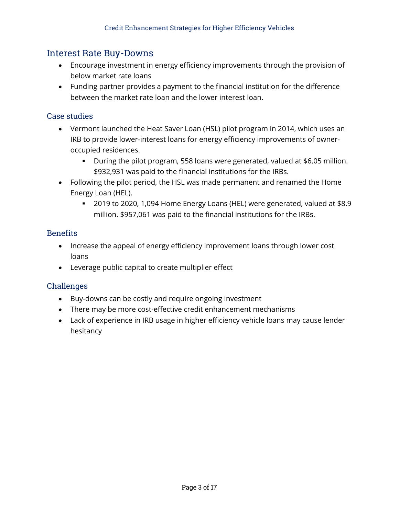#### <span id="page-3-0"></span>Interest Rate Buy-Downs

- Encourage investment in energy efficiency improvements through the provision of below market rate loans
- Funding partner provides a payment to the financial institution for the difference between the market rate loan and the lower interest loan.

#### Case studies

- Vermont launched the Heat Saver Loan (HSL) pilot program in 2014, which uses an IRB to provide lower-interest loans for energy efficiency improvements of owneroccupied residences.
	- During the pilot program, 558 loans were generated, valued at \$6.05 million. \$932,931 was paid to the financial institutions for the IRBs.
- Following the pilot period, the HSL was made permanent and renamed the Home Energy Loan (HEL).
	- 2019 to 2020, 1,094 Home Energy Loans (HEL) were generated, valued at \$8.9 million. \$957,061 was paid to the financial institutions for the IRBs.

#### Benefits

- Increase the appeal of energy efficiency improvement loans through lower cost loans
- Leverage public capital to create multiplier effect

#### Challenges

- Buy-downs can be costly and require ongoing investment
- There may be more cost-effective credit enhancement mechanisms
- Lack of experience in IRB usage in higher efficiency vehicle loans may cause lender hesitancy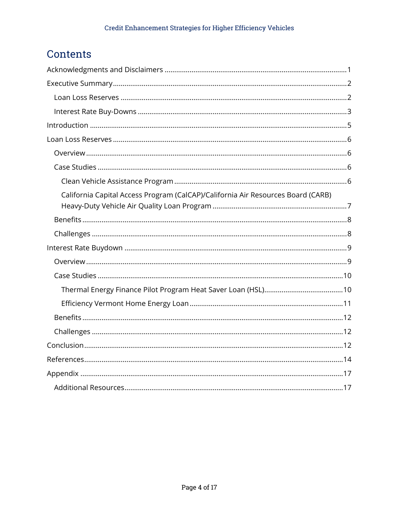# Contents

| California Capital Access Program (CalCAP)/California Air Resources Board (CARB) |
|----------------------------------------------------------------------------------|
|                                                                                  |
|                                                                                  |
|                                                                                  |
|                                                                                  |
|                                                                                  |
|                                                                                  |
|                                                                                  |
|                                                                                  |
|                                                                                  |
|                                                                                  |
|                                                                                  |
|                                                                                  |
|                                                                                  |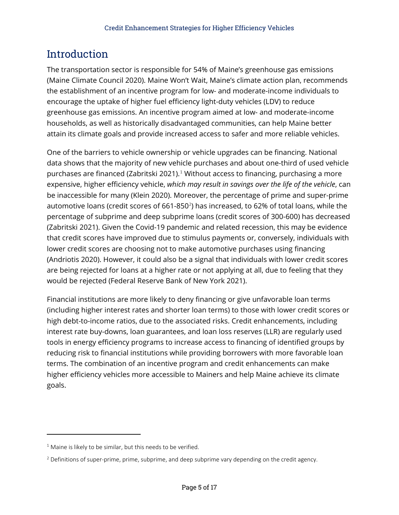# <span id="page-5-0"></span>Introduction

The transportation sector is responsible for 54% of Maine's greenhouse gas emissions (Maine Climate Council 2020). Maine Won't Wait, Maine's climate action plan, recommends the establishment of an incentive program for low- and moderate-income individuals to encourage the uptake of higher fuel efficiency light-duty vehicles (LDV) to reduce greenhouse gas emissions. An incentive program aimed at low- and moderate-income households, as well as historically disadvantaged communities, can help Maine better attain its climate goals and provide increased access to safer and more reliable vehicles.

One of the barriers to vehicle ownership or vehicle upgrades can be financing. National data shows that the majority of new vehicle purchases and about one-third of used vehicle purchases are financed (Zabritski 2021). [1](#page-5-1) Without access to financing, purchasing a more expensive, higher efficiency vehicle, *which may result in savings over the life of the vehicle*, can be inaccessible for many (Klein 2020). Moreover, the percentage of prime and super-prime automotive loans (credit scores of 661-850 $^{2}$  $^{2}$  $^{2}$ ) has increased, to 62% of total loans, while the percentage of subprime and deep subprime loans (credit scores of 300-600) has decreased (Zabritski 2021). Given the Covid-19 pandemic and related recession, this may be evidence that credit scores have improved due to stimulus payments or, conversely, individuals with lower credit scores are choosing not to make automotive purchases using financing (Andriotis 2020). However, it could also be a signal that individuals with lower credit scores are being rejected for loans at a higher rate or not applying at all, due to feeling that they would be rejected (Federal Reserve Bank of New York 2021).

Financial institutions are more likely to deny financing or give unfavorable loan terms (including higher interest rates and shorter loan terms) to those with lower credit scores or high debt-to-income ratios, due to the associated risks. Credit enhancements, including interest rate buy-downs, loan guarantees, and loan loss reserves (LLR) are regularly used tools in energy efficiency programs to increase access to financing of identified groups by reducing risk to financial institutions while providing borrowers with more favorable loan terms. The combination of an incentive program and credit enhancements can make higher efficiency vehicles more accessible to Mainers and help Maine achieve its climate goals.

 $\overline{a}$ 

<span id="page-5-1"></span> $1$  Maine is likely to be similar, but this needs to be verified.

<span id="page-5-2"></span> $<sup>2</sup>$  Definitions of super-prime, prime, subprime, and deep subprime vary depending on the credit agency.</sup>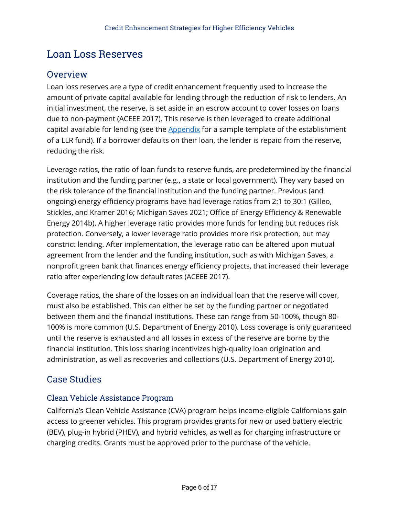# <span id="page-6-0"></span>Loan Loss Reserves

### <span id="page-6-1"></span>**Overview**

Loan loss reserves are a type of credit enhancement frequently used to increase the amount of private capital available for lending through the reduction of risk to lenders. An initial investment, the reserve, is set aside in an escrow account to cover losses on loans due to non-payment (ACEEE 2017). This reserve is then leveraged to create additional capital available for lending (see the **[Appendix](#page-17-0)** for a sample template of the establishment of a LLR fund). If a borrower defaults on their loan, the lender is repaid from the reserve, reducing the risk.

Leverage ratios, the ratio of loan funds to reserve funds, are predetermined by the financial institution and the funding partner (e.g., a state or local government). They vary based on the risk tolerance of the financial institution and the funding partner. Previous (and ongoing) energy efficiency programs have had leverage ratios from 2:1 to 30:1 (Gilleo, Stickles, and Kramer 2016; Michigan Saves 2021; Office of Energy Efficiency & Renewable Energy 2014b). A higher leverage ratio provides more funds for lending but reduces risk protection. Conversely, a lower leverage ratio provides more risk protection, but may constrict lending. After implementation, the leverage ratio can be altered upon mutual agreement from the lender and the funding institution, such as with Michigan Saves, a nonprofit green bank that finances energy efficiency projects, that increased their leverage ratio after experiencing low default rates (ACEEE 2017).

Coverage ratios, the share of the losses on an individual loan that the reserve will cover, must also be established. This can either be set by the funding partner or negotiated between them and the financial institutions. These can range from 50-100%, though 80- 100% is more common (U.S. Department of Energy 2010). Loss coverage is only guaranteed until the reserve is exhausted and all losses in excess of the reserve are borne by the financial institution. This loss sharing incentivizes high-quality loan origination and administration, as well as recoveries and collections (U.S. Department of Energy 2010).

### <span id="page-6-2"></span>Case Studies

#### <span id="page-6-3"></span>Clean Vehicle Assistance Program

California's Clean Vehicle Assistance (CVA) program helps income-eligible Californians gain access to greener vehicles. This program provides grants for new or used battery electric (BEV), plug-in hybrid (PHEV), and hybrid vehicles, as well as for charging infrastructure or charging credits. Grants must be approved prior to the purchase of the vehicle.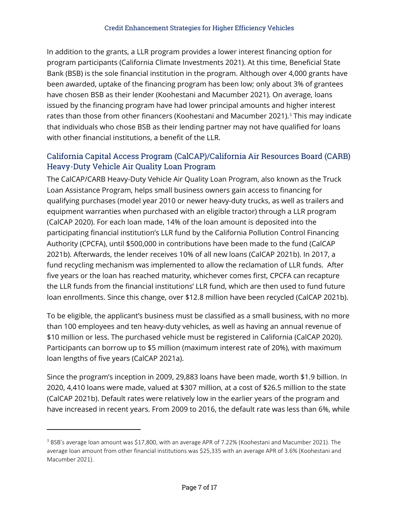In addition to the grants, a LLR program provides a lower interest financing option for program participants (California Climate Investments 2021). At this time, Beneficial State Bank (BSB) is the sole financial institution in the program. Although over 4,000 grants have been awarded, uptake of the financing program has been low; only about 3% of grantees have chosen BSB as their lender (Koohestani and Macumber 2021). On average, loans issued by the financing program have had lower principal amounts and higher interest rates than those from other financers (Koohestani and Macumber 2021). [3](#page-7-1) This may indicate that individuals who chose BSB as their lending partner may not have qualified for loans with other financial institutions, a benefit of the LLR.

### <span id="page-7-0"></span>California Capital Access Program (CalCAP)/California Air Resources Board (CARB) Heavy-Duty Vehicle Air Quality Loan Program

The CalCAP/CARB Heavy-Duty Vehicle Air Quality Loan Program, also known as the Truck Loan Assistance Program, helps small business owners gain access to financing for qualifying purchases (model year 2010 or newer heavy-duty trucks, as well as trailers and equipment warranties when purchased with an eligible tractor) through a LLR program (CalCAP 2020). For each loan made, 14% of the loan amount is deposited into the participating financial institution's LLR fund by the California Pollution Control Financing Authority (CPCFA), until \$500,000 in contributions have been made to the fund (CalCAP 2021b). Afterwards, the lender receives 10% of all new loans (CalCAP 2021b). In 2017, a fund recycling mechanism was implemented to allow the reclamation of LLR funds. After five years or the loan has reached maturity, whichever comes first, CPCFA can recapture the LLR funds from the financial institutions' LLR fund, which are then used to fund future loan enrollments. Since this change, over \$12.8 million have been recycled (CalCAP 2021b).

To be eligible, the applicant's business must be classified as a small business, with no more than 100 employees and ten heavy-duty vehicles, as well as having an annual revenue of \$10 million or less. The purchased vehicle must be registered in California (CalCAP 2020). Participants can borrow up to \$5 million (maximum interest rate of 20%), with maximum loan lengths of five years (CalCAP 2021a).

Since the program's inception in 2009, 29,883 loans have been made, worth \$1.9 billion. In 2020, 4,410 loans were made, valued at \$307 million, at a cost of \$26.5 million to the state (CalCAP 2021b). Default rates were relatively low in the earlier years of the program and have increased in recent years. From 2009 to 2016, the default rate was less than 6%, while

 $\overline{a}$ 

<span id="page-7-1"></span><sup>3</sup> BSB's average loan amount was \$17,800, with an average APR of 7.22% (Koohestani and Macumber 2021). The average loan amount from other financial institutions was \$25,335 with an average APR of 3.6% (Koohestani and Macumber 2021).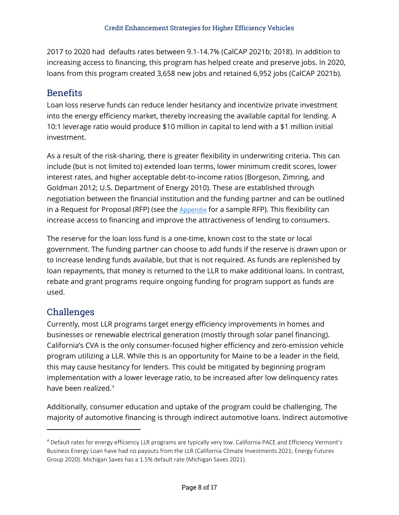2017 to 2020 had defaults rates between 9.1-14.7% (CalCAP 2021b; 2018). In addition to increasing access to financing, this program has helped create and preserve jobs. In 2020, loans from this program created 3,658 new jobs and retained 6,952 jobs (CalCAP 2021b).

### <span id="page-8-0"></span>Benefits

Loan loss reserve funds can reduce lender hesitancy and incentivize private investment into the energy efficiency market, thereby increasing the available capital for lending. A 10:1 leverage ratio would produce \$10 million in capital to lend with a \$1 million initial investment.

As a result of the risk-sharing, there is greater flexibility in underwriting criteria. This can include (but is not limited to) extended loan terms, lower minimum credit scores, lower interest rates, and higher acceptable debt-to-income ratios (Borgeson, Zimring, and Goldman 2012; U.S. Department of Energy 2010). These are established through negotiation between the financial institution and the funding partner and can be outlined in a Request for Proposal (RFP) (see the  $Appendix$  for a sample RFP). This flexibility can increase access to financing and improve the attractiveness of lending to consumers.

The reserve for the loan loss fund is a one-time, known cost to the state or local government. The funding partner can choose to add funds if the reserve is drawn upon or to increase lending funds available, but that is not required. As funds are replenished by loan repayments, that money is returned to the LLR to make additional loans. In contrast, rebate and grant programs require ongoing funding for program support as funds are used.

# <span id="page-8-1"></span>Challenges

 $\overline{a}$ 

Currently, most LLR programs target energy efficiency improvements in homes and businesses or renewable electrical generation (mostly through solar panel financing). California's CVA is the only consumer-focused higher efficiency and zero-emission vehicle program utilizing a LLR. While this is an opportunity for Maine to be a leader in the field, this may cause hesitancy for lenders. This could be mitigated by beginning program implementation with a lower leverage ratio, to be increased after low delinquency rates have been realized. [4](#page-8-2)

Additionally, consumer education and uptake of the program could be challenging. The majority of automotive financing is through indirect automotive loans. Indirect automotive

<span id="page-8-2"></span><sup>4</sup> Default rates for energy efficiency LLR programs are typically very low. California PACE and Efficiency Vermont's Business Energy Loan have had no payouts from the LLR (California Climate Investments 2021; Energy Futures Group 2020). Michigan Saves has a 1.5% default rate (Michigan Saves 2021).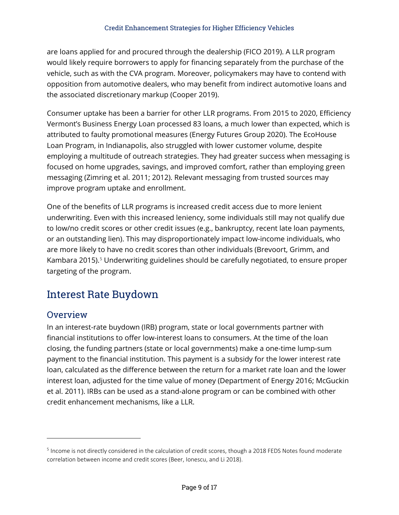are loans applied for and procured through the dealership (FICO 2019). A LLR program would likely require borrowers to apply for financing separately from the purchase of the vehicle, such as with the CVA program. Moreover, policymakers may have to contend with opposition from automotive dealers, who may benefit from indirect automotive loans and the associated discretionary markup (Cooper 2019).

Consumer uptake has been a barrier for other LLR programs. From 2015 to 2020, Efficiency Vermont's Business Energy Loan processed 83 loans, a much lower than expected, which is attributed to faulty promotional measures (Energy Futures Group 2020). The EcoHouse Loan Program, in Indianapolis, also struggled with lower customer volume, despite employing a multitude of outreach strategies. They had greater success when messaging is focused on home upgrades, savings, and improved comfort, rather than employing green messaging (Zimring et al. 2011; 2012). Relevant messaging from trusted sources may improve program uptake and enrollment.

One of the benefits of LLR programs is increased credit access due to more lenient underwriting. Even with this increased leniency, some individuals still may not qualify due to low/no credit scores or other credit issues (e.g., bankruptcy, recent late loan payments, or an outstanding lien). This may disproportionately impact low-income individuals, who are more likely to have no credit scores than other individuals (Brevoort, Grimm, and Kambara 2015). [5](#page-9-2) Underwriting guidelines should be carefully negotiated, to ensure proper targeting of the program.

# <span id="page-9-0"></span>Interest Rate Buydown

### <span id="page-9-1"></span>**Overview**

 $\overline{a}$ 

In an interest-rate buydown (IRB) program, state or local governments partner with financial institutions to offer low-interest loans to consumers. At the time of the loan closing, the funding partners (state or local governments) make a one-time lump-sum payment to the financial institution. This payment is a subsidy for the lower interest rate loan, calculated as the difference between the return for a market rate loan and the lower interest loan, adjusted for the time value of money (Department of Energy 2016; McGuckin et al. 2011). IRBs can be used as a stand-alone program or can be combined with other credit enhancement mechanisms, like a LLR.

<span id="page-9-2"></span><sup>&</sup>lt;sup>5</sup> Income is not directly considered in the calculation of credit scores, though a 2018 FEDS Notes found moderate correlation between income and credit scores (Beer, Ionescu, and Li 2018).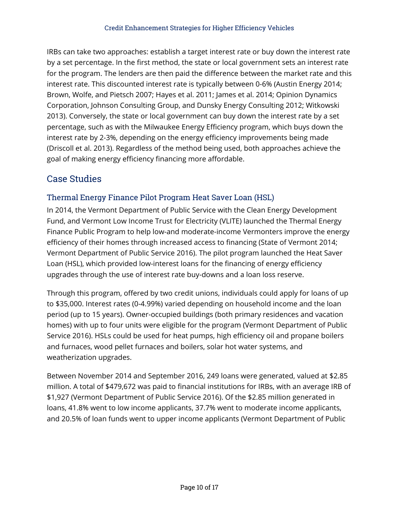IRBs can take two approaches: establish a target interest rate or buy down the interest rate by a set percentage. In the first method, the state or local government sets an interest rate for the program. The lenders are then paid the difference between the market rate and this interest rate. This discounted interest rate is typically between 0-6% (Austin Energy 2014; Brown, Wolfe, and Pietsch 2007; Hayes et al. 2011; James et al. 2014; Opinion Dynamics Corporation, Johnson Consulting Group, and Dunsky Energy Consulting 2012; Witkowski 2013). Conversely, the state or local government can buy down the interest rate by a set percentage, such as with the Milwaukee Energy Efficiency program, which buys down the interest rate by 2-3%, depending on the energy efficiency improvements being made (Driscoll et al. 2013). Regardless of the method being used, both approaches achieve the goal of making energy efficiency financing more affordable.

# <span id="page-10-0"></span>Case Studies

### <span id="page-10-1"></span>Thermal Energy Finance Pilot Program Heat Saver Loan (HSL)

In 2014, the Vermont Department of Public Service with the Clean Energy Development Fund, and Vermont Low Income Trust for Electricity (VLITE) launched the Thermal Energy Finance Public Program to help low-and moderate-income Vermonters improve the energy efficiency of their homes through increased access to financing (State of Vermont 2014; Vermont Department of Public Service 2016). The pilot program launched the Heat Saver Loan (HSL), which provided low-interest loans for the financing of energy efficiency upgrades through the use of interest rate buy-downs and a loan loss reserve.

Through this program, offered by two credit unions, individuals could apply for loans of up to \$35,000. Interest rates (0-4.99%) varied depending on household income and the loan period (up to 15 years). Owner-occupied buildings (both primary residences and vacation homes) with up to four units were eligible for the program (Vermont Department of Public Service 2016). HSLs could be used for heat pumps, high efficiency oil and propane boilers and furnaces, wood pellet furnaces and boilers, solar hot water systems, and weatherization upgrades.

Between November 2014 and September 2016, 249 loans were generated, valued at \$2.85 million. A total of \$479,672 was paid to financial institutions for IRBs, with an average IRB of \$1,927 (Vermont Department of Public Service 2016). Of the \$2.85 million generated in loans, 41.8% went to low income applicants, 37.7% went to moderate income applicants, and 20.5% of loan funds went to upper income applicants (Vermont Department of Public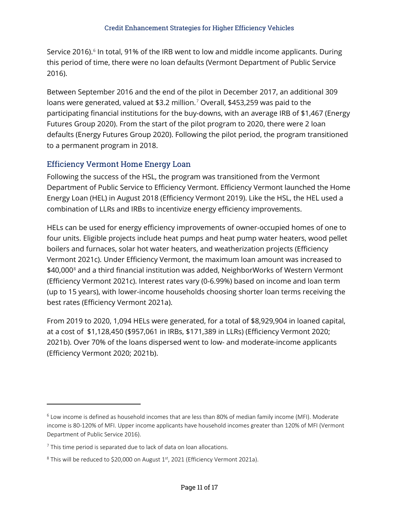Service 2016). [6](#page-11-1) In total, 91% of the IRB went to low and middle income applicants. During this period of time, there were no loan defaults (Vermont Department of Public Service 2016).

Between September 2016 and the end of the pilot in December 2017, an additional 309 loans were generated, valued at \$3.2 million.<sup>[7](#page-11-2)</sup> Overall, \$453,259 was paid to the participating financial institutions for the buy-downs, with an average IRB of \$1,467 (Energy Futures Group 2020). From the start of the pilot program to 2020, there were 2 loan defaults (Energy Futures Group 2020). Following the pilot period, the program transitioned to a permanent program in 2018.

#### <span id="page-11-0"></span>Efficiency Vermont Home Energy Loan

Following the success of the HSL, the program was transitioned from the Vermont Department of Public Service to Efficiency Vermont. Efficiency Vermont launched the Home Energy Loan (HEL) in August 2018 (Efficiency Vermont 2019). Like the HSL, the HEL used a combination of LLRs and IRBs to incentivize energy efficiency improvements.

HELs can be used for energy efficiency improvements of owner-occupied homes of one to four units. Eligible projects include heat pumps and heat pump water heaters, wood pellet boilers and furnaces, solar hot water heaters, and weatherization projects (Efficiency Vermont 2021c). Under Efficiency Vermont, the maximum loan amount was increased to \$40,000<sup>[8](#page-11-3)</sup> and a third financial institution was added, NeighborWorks of Western Vermont (Efficiency Vermont 2021c). Interest rates vary (0-6.99%) based on income and loan term (up to 15 years), with lower-income households choosing shorter loan terms receiving the best rates (Efficiency Vermont 2021a).

From 2019 to 2020, 1,094 HELs were generated, for a total of \$8,929,904 in loaned capital, at a cost of \$1,128,450 (\$957,061 in IRBs, \$171,389 in LLRs) (Efficiency Vermont 2020; 2021b). Over 70% of the loans dispersed went to low- and moderate-income applicants (Efficiency Vermont 2020; 2021b).

 $\overline{a}$ 

<span id="page-11-1"></span> $6$  Low income is defined as household incomes that are less than 80% of median family income (MFI). Moderate income is 80-120% of MFI. Upper income applicants have household incomes greater than 120% of MFI (Vermont Department of Public Service 2016).

<span id="page-11-2"></span> $7$  This time period is separated due to lack of data on loan allocations.

<span id="page-11-3"></span> $8$  This will be reduced to \$20,000 on August  $1<sup>st</sup>$ , 2021 (Efficiency Vermont 2021a).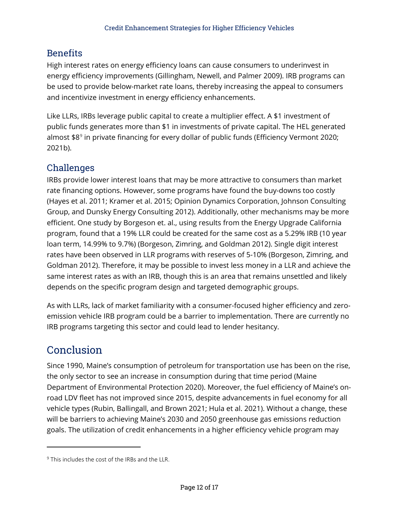### <span id="page-12-0"></span>**Benefits**

High interest rates on energy efficiency loans can cause consumers to underinvest in energy efficiency improvements (Gillingham, Newell, and Palmer 2009). IRB programs can be used to provide below-market rate loans, thereby increasing the appeal to consumers and incentivize investment in energy efficiency enhancements.

Like LLRs, IRBs leverage public capital to create a multiplier effect. A \$1 investment of public funds generates more than \$1 in investments of private capital. The HEL generated almost \$8<sup>[9](#page-12-3)</sup> in private financing for every dollar of public funds (Efficiency Vermont 2020; 2021b).

### <span id="page-12-1"></span>Challenges

IRBs provide lower interest loans that may be more attractive to consumers than market rate financing options. However, some programs have found the buy-downs too costly (Hayes et al. 2011; Kramer et al. 2015; Opinion Dynamics Corporation, Johnson Consulting Group, and Dunsky Energy Consulting 2012). Additionally, other mechanisms may be more efficient. One study by Borgeson et. al., using results from the Energy Upgrade California program, found that a 19% LLR could be created for the same cost as a 5.29% IRB (10 year loan term, 14.99% to 9.7%) (Borgeson, Zimring, and Goldman 2012). Single digit interest rates have been observed in LLR programs with reserves of 5-10% (Borgeson, Zimring, and Goldman 2012). Therefore, it may be possible to invest less money in a LLR and achieve the same interest rates as with an IRB, though this is an area that remains unsettled and likely depends on the specific program design and targeted demographic groups.

As with LLRs, lack of market familiarity with a consumer-focused higher efficiency and zeroemission vehicle IRB program could be a barrier to implementation. There are currently no IRB programs targeting this sector and could lead to lender hesitancy.

# <span id="page-12-2"></span>Conclusion

 $\overline{a}$ 

Since 1990, Maine's consumption of petroleum for transportation use has been on the rise, the only sector to see an increase in consumption during that time period (Maine Department of Environmental Protection 2020). Moreover, the fuel efficiency of Maine's onroad LDV fleet has not improved since 2015, despite advancements in fuel economy for all vehicle types (Rubin, Ballingall, and Brown 2021; Hula et al. 2021). Without a change, these will be barriers to achieving Maine's 2030 and 2050 greenhouse gas emissions reduction goals. The utilization of credit enhancements in a higher efficiency vehicle program may

<span id="page-12-3"></span> $9$  This includes the cost of the IRBs and the LLR.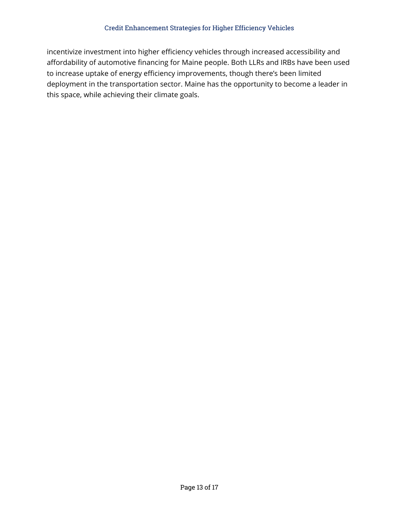incentivize investment into higher efficiency vehicles through increased accessibility and affordability of automotive financing for Maine people. Both LLRs and IRBs have been used to increase uptake of energy efficiency improvements, though there's been limited deployment in the transportation sector. Maine has the opportunity to become a leader in this space, while achieving their climate goals.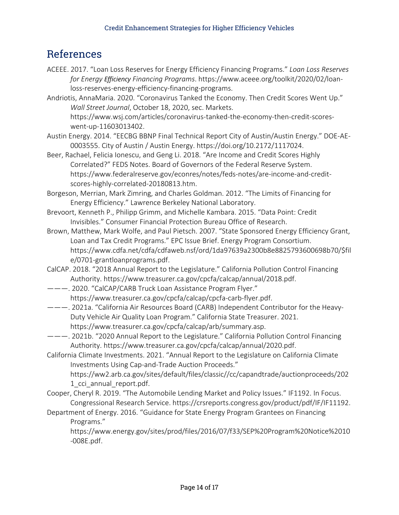# <span id="page-14-0"></span>References

- ACEEE. 2017. "Loan Loss Reserves for Energy Efficiency Financing Programs." *Loan Loss Reserves for Energy Efficiency Financing Programs*. https://www.aceee.org/toolkit/2020/02/loanloss-reserves-energy-efficiency-financing-programs.
- Andriotis, AnnaMaria. 2020. "Coronavirus Tanked the Economy. Then Credit Scores Went Up." *Wall Street Journal*, October 18, 2020, sec. Markets. https://www.wsj.com/articles/coronavirus-tanked-the-economy-then-credit-scoreswent-up-11603013402.
- Austin Energy. 2014. "EECBG BBNP Final Technical Report City of Austin/Austin Energy." DOE-AE-0003555. City of Austin / Austin Energy. https://doi.org/10.2172/1117024.
- Beer, Rachael, Felicia Ionescu, and Geng Li. 2018. "Are Income and Credit Scores Highly Correlated?" FEDS Notes. Board of Governors of the Federal Reserve System. https://www.federalreserve.gov/econres/notes/feds-notes/are-income-and-creditscores-highly-correlated-20180813.htm.
- Borgeson, Merrian, Mark Zimring, and Charles Goldman. 2012. "The Limits of Financing for Energy Efficiency." Lawrence Berkeley National Laboratory.
- Brevoort, Kenneth P., Philipp Grimm, and Michelle Kambara. 2015. "Data Point: Credit Invisibles." Consumer Financial Protection Bureau Office of Research.
- Brown, Matthew, Mark Wolfe, and Paul Pietsch. 2007. "State Sponsored Energy Efficiency Grant, Loan and Tax Credit Programs." EPC Issue Brief. Energy Program Consortium. https://www.cdfa.net/cdfa/cdfaweb.nsf/ord/1da97639a2300b8e8825793600698b70/\$fil e/0701-grantloanprograms.pdf.
- CalCAP. 2018. "2018 Annual Report to the Legislature." California Pollution Control Financing Authority. https://www.treasurer.ca.gov/cpcfa/calcap/annual/2018.pdf.
- ———. 2020. "CalCAP/CARB Truck Loan Assistance Program Flyer." https://www.treasurer.ca.gov/cpcfa/calcap/cpcfa-carb-flyer.pdf.
- ———. 2021a. "California Air Resources Board (CARB) Independent Contributor for the Heavy-Duty Vehicle Air Quality Loan Program." California State Treasurer. 2021. https://www.treasurer.ca.gov/cpcfa/calcap/arb/summary.asp.
- ———. 2021b. "2020 Annual Report to the Legislature." California Pollution Control Financing Authority. https://www.treasurer.ca.gov/cpcfa/calcap/annual/2020.pdf.
- California Climate Investments. 2021. "Annual Report to the Legislature on California Climate Investments Using Cap-and-Trade Auction Proceeds."

https://ww2.arb.ca.gov/sites/default/files/classic//cc/capandtrade/auctionproceeds/202 1 cci annual report.pdf.

- Cooper, Cheryl R. 2019. "The Automobile Lending Market and Policy Issues." IF1192. In Focus. Congressional Research Service. https://crsreports.congress.gov/product/pdf/IF/IF11192.
- Department of Energy. 2016. "Guidance for State Energy Program Grantees on Financing Programs."

https://www.energy.gov/sites/prod/files/2016/07/f33/SEP%20Program%20Notice%2010 -008E.pdf.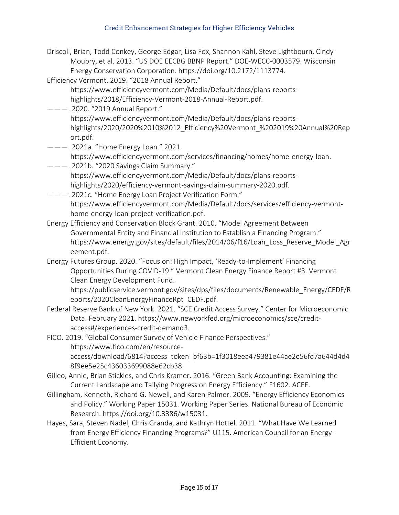| Driscoll, Brian, Todd Conkey, George Edgar, Lisa Fox, Shannon Kahl, Steve Lightbourn, Cindy<br>Moubry, et al. 2013. "US DOE EECBG BBNP Report." DOE-WECC-0003579. Wisconsin |
|-----------------------------------------------------------------------------------------------------------------------------------------------------------------------------|
| Energy Conservation Corporation. https://doi.org/10.2172/1113774.                                                                                                           |
| Efficiency Vermont. 2019. "2018 Annual Report."                                                                                                                             |
| https://www.efficiencyvermont.com/Media/Default/docs/plans-reports-                                                                                                         |
| highlights/2018/Efficiency-Vermont-2018-Annual-Report.pdf.                                                                                                                  |
| --- 2020. "2019 Annual Report."                                                                                                                                             |
| https://www.efficiencyvermont.com/Media/Default/docs/plans-reports-                                                                                                         |
| highlights/2020/2020%2010%2012_Efficiency%20Vermont_%202019%20Annual%20Rep                                                                                                  |
| ort.pdf.                                                                                                                                                                    |
| --- 2021a. "Home Energy Loan." 2021.                                                                                                                                        |
| https://www.efficiencyvermont.com/services/financing/homes/home-energy-loan.                                                                                                |
| --- 2021b. "2020 Savings Claim Summary."                                                                                                                                    |
| https://www.efficiencyvermont.com/Media/Default/docs/plans-reports-                                                                                                         |
| highlights/2020/efficiency-vermont-savings-claim-summary-2020.pdf.                                                                                                          |
| --- 2021c. "Home Energy Loan Project Verification Form."                                                                                                                    |
| https://www.efficiencyvermont.com/Media/Default/docs/services/efficiency-vermont-                                                                                           |
| home-energy-loan-project-verification.pdf.                                                                                                                                  |
| Energy Efficiency and Conservation Block Grant. 2010. "Model Agreement Between                                                                                              |
|                                                                                                                                                                             |
| Governmental Entity and Financial Institution to Establish a Financing Program."                                                                                            |
| https://www.energy.gov/sites/default/files/2014/06/f16/Loan_Loss_Reserve_Model_Agr                                                                                          |
| eement.pdf.                                                                                                                                                                 |
| Energy Futures Group. 2020. "Focus on: High Impact, 'Ready-to-Implement' Financing                                                                                          |
| Opportunities During COVID-19." Vermont Clean Energy Finance Report #3. Vermont                                                                                             |
| Clean Energy Development Fund.                                                                                                                                              |
| https://publicservice.vermont.gov/sites/dps/files/documents/Renewable_Energy/CEDF/R                                                                                         |
| eports/2020CleanEnergyFinanceRpt_CEDF.pdf.                                                                                                                                  |
| Federal Reserve Bank of New York. 2021. "SCE Credit Access Survey." Center for Microeconomic                                                                                |
| Data. February 2021. https://www.newyorkfed.org/microeconomics/sce/credit-                                                                                                  |
| access#/experiences-credit-demand3.                                                                                                                                         |
| FICO. 2019. "Global Consumer Survey of Vehicle Finance Perspectives."                                                                                                       |
| https://www.fico.com/en/resource-                                                                                                                                           |
| access/download/6814?access token bf63b=1f3018eea479381e44ae2e56fd7a644d4d4                                                                                                 |
| 8f9ee5e25c436033699088e62cb38.                                                                                                                                              |
| Gilleo, Annie, Brian Stickles, and Chris Kramer. 2016. "Green Bank Accounting: Examining the                                                                                |
| Current Landscape and Tallying Progress on Energy Efficiency." F1602. ACEE.                                                                                                 |

- Gillingham, Kenneth, Richard G. Newell, and Karen Palmer. 2009. "Energy Efficiency Economics and Policy." Working Paper 15031. Working Paper Series. National Bureau of Economic Research. https://doi.org/10.3386/w15031.
- Hayes, Sara, Steven Nadel, Chris Granda, and Kathryn Hottel. 2011. "What Have We Learned from Energy Efficiency Financing Programs?" U115. American Council for an Energy-Efficient Economy.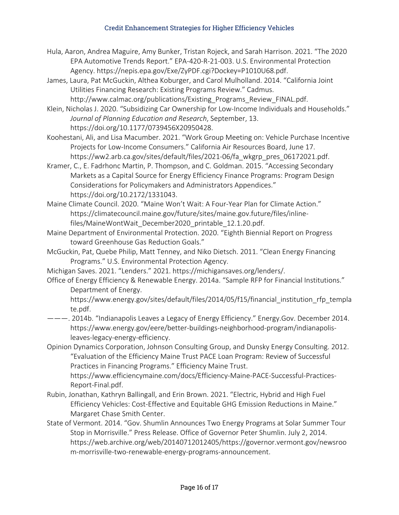#### Credit Enhancement Strategies for Higher Efficiency Vehicles

- Hula, Aaron, Andrea Maguire, Amy Bunker, Tristan Rojeck, and Sarah Harrison. 2021. "The 2020 EPA Automotive Trends Report." EPA-420-R-21-003. U.S. Environmental Protection Agency. https://nepis.epa.gov/Exe/ZyPDF.cgi?Dockey=P1010U68.pdf.
- James, Laura, Pat McGuckin, Althea Koburger, and Carol Mulholland. 2014. "California Joint Utilities Financing Research: Existing Programs Review." Cadmus. http://www.calmac.org/publications/Existing Programs Review FINAL.pdf.
- Klein, Nicholas J. 2020. "Subsidizing Car Ownership for Low-Income Individuals and Households." *Journal of Planning Education and Research*, September, 13. https://doi.org/10.1177/0739456X20950428.
- Koohestani, Ali, and Lisa Macumber. 2021. "Work Group Meeting on: Vehicle Purchase Incentive Projects for Low-Income Consumers." California Air Resources Board, June 17. https://ww2.arb.ca.gov/sites/default/files/2021-06/fa\_wkgrp\_pres\_06172021.pdf.
- Kramer, C., E. Fadrhonc Martin, P. Thompson, and C. Goldman. 2015. "Accessing Secondary Markets as a Capital Source for Energy Efficiency Finance Programs: Program Design Considerations for Policymakers and Administrators Appendices." https://doi.org/10.2172/1331043.
- Maine Climate Council. 2020. "Maine Won't Wait: A Four-Year Plan for Climate Action." https://climatecouncil.maine.gov/future/sites/maine.gov.future/files/inlinefiles/MaineWontWait December2020 printable 12.1.20.pdf.
- Maine Department of Environmental Protection. 2020. "Eighth Biennial Report on Progress toward Greenhouse Gas Reduction Goals."
- McGuckin, Pat, Quebe Philip, Matt Tenney, and Niko Dietsch. 2011. "Clean Energy Financing Programs." U.S. Environmental Protection Agency.
- Michigan Saves. 2021. "Lenders." 2021. https://michigansaves.org/lenders/.
- Office of Energy Efficiency & Renewable Energy. 2014a. "Sample RFP for Financial Institutions." Department of Energy.
	- https://www.energy.gov/sites/default/files/2014/05/f15/financial institution rfp templa te.pdf.
- ———. 2014b. "Indianapolis Leaves a Legacy of Energy Efficiency." Energy.Gov. December 2014. https://www.energy.gov/eere/better-buildings-neighborhood-program/indianapolisleaves-legacy-energy-efficiency.
- Opinion Dynamics Corporation, Johnson Consulting Group, and Dunsky Energy Consulting. 2012. "Evaluation of the Efficiency Maine Trust PACE Loan Program: Review of Successful Practices in Financing Programs." Efficiency Maine Trust.

https://www.efficiencymaine.com/docs/Efficiency-Maine-PACE-Successful-Practices-Report-Final.pdf.

- Rubin, Jonathan, Kathryn Ballingall, and Erin Brown. 2021. "Electric, Hybrid and High Fuel Efficiency Vehicles: Cost-Effective and Equitable GHG Emission Reductions in Maine." Margaret Chase Smith Center.
- State of Vermont. 2014. "Gov. Shumlin Announces Two Energy Programs at Solar Summer Tour Stop in Morrisville." Press Release. Office of Governor Peter Shumlin. July 2, 2014. https://web.archive.org/web/20140712012405/https://governor.vermont.gov/newsroo m-morrisville-two-renewable-energy-programs-announcement.